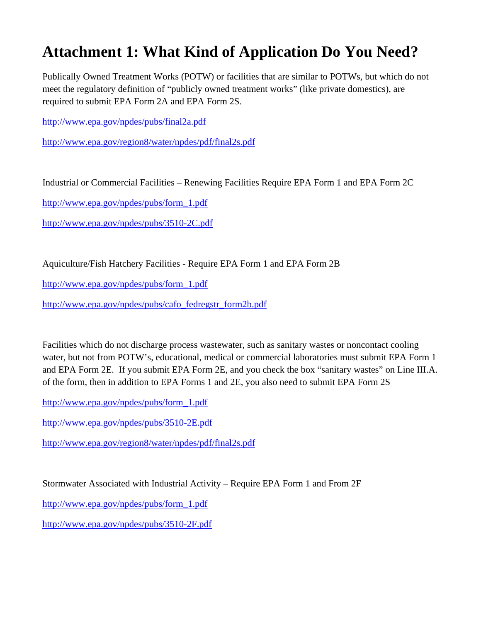## **Attachment 1: What Kind of Application Do You Need?**

Publically Owned Treatment Works (POTW) or facilities that are similar to POTWs, but which do not meet the regulatory definition of "publicly owned treatment works" (like private domestics), are required to submit EPA Form 2A and EPA Form 2S.

http://www.epa.gov/npdes/pubs/final2a.pdf

http://www.epa.gov/region8/water/npdes/pdf/final2s.pdf

Industrial or Commercial Facilities – Renewing Facilities Require EPA Form 1 and EPA Form 2C

http://www.epa.gov/npdes/pubs/form\_1.pdf

http://www.epa.gov/npdes/pubs/3510-2C.pdf

Aquiculture/Fish Hatchery Facilities - Require EPA Form 1 and EPA Form 2B

http://www.epa.gov/npdes/pubs/form\_1.pdf

http://www.epa.gov/npdes/pubs/cafo\_fedregstr\_form2b.pdf

Facilities which do not discharge process wastewater, such as sanitary wastes or noncontact cooling water, but not from POTW's, educational, medical or commercial laboratories must submit EPA Form 1 and EPA Form 2E. If you submit EPA Form 2E, and you check the box "sanitary wastes" on Line III.A. of the form, then in addition to EPA Forms 1 and 2E, you also need to submit EPA Form 2S

http://www.epa.gov/npdes/pubs/form\_1.pdf

http://www.epa.gov/npdes/pubs/3510-2E.pdf

http://www.epa.gov/region8/water/npdes/pdf/final2s.pdf

Stormwater Associated with Industrial Activity – Require EPA Form 1 and From 2F

http://www.epa.gov/npdes/pubs/form\_1.pdf

http://www.epa.gov/npdes/pubs/3510-2F.pdf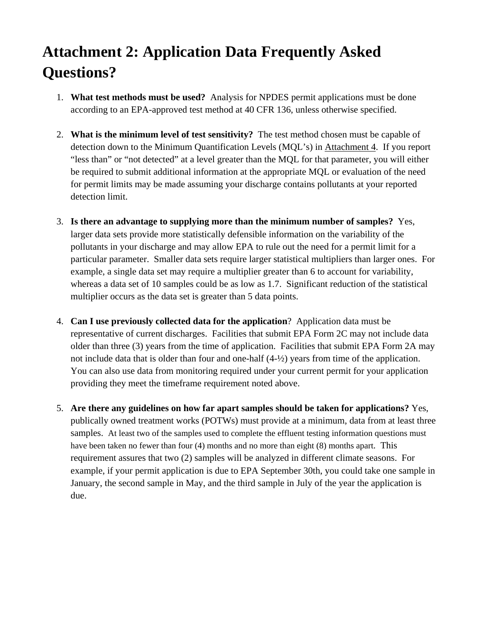# **Attachment 2: Application Data Frequently Asked Questions?**

- 1. **What test methods must be used?** Analysis for NPDES permit applications must be done according to an EPA-approved test method at 40 CFR 136, unless otherwise specified.
- 2. **What is the minimum level of test sensitivity?** The test method chosen must be capable of detection down to the Minimum Quantification Levels (MQL's) in Attachment 4. If you report "less than" or "not detected" at a level greater than the MQL for that parameter, you will either be required to submit additional information at the appropriate MQL or evaluation of the need for permit limits may be made assuming your discharge contains pollutants at your reported detection limit.
- 3. **Is there an advantage to supplying more than the minimum number of samples?** Yes, larger data sets provide more statistically defensible information on the variability of the pollutants in your discharge and may allow EPA to rule out the need for a permit limit for a particular parameter. Smaller data sets require larger statistical multipliers than larger ones. For example, a single data set may require a multiplier greater than 6 to account for variability, whereas a data set of 10 samples could be as low as 1.7. Significant reduction of the statistical multiplier occurs as the data set is greater than 5 data points.
- 4. **Can I use previously collected data for the application**? Application data must be representative of current discharges. Facilities that submit EPA Form 2C may not include data older than three (3) years from the time of application. Facilities that submit EPA Form 2A may not include data that is older than four and one-half (4-½) years from time of the application. You can also use data from monitoring required under your current permit for your application providing they meet the timeframe requirement noted above.
- 5. **Are there any guidelines on how far apart samples should be taken for applications?** Yes, publically owned treatment works (POTWs) must provide at a minimum, data from at least three samples. At least two of the samples used to complete the effluent testing information questions must have been taken no fewer than four (4) months and no more than eight (8) months apart. This requirement assures that two (2) samples will be analyzed in different climate seasons. For example, if your permit application is due to EPA September 30th, you could take one sample in January, the second sample in May, and the third sample in July of the year the application is due.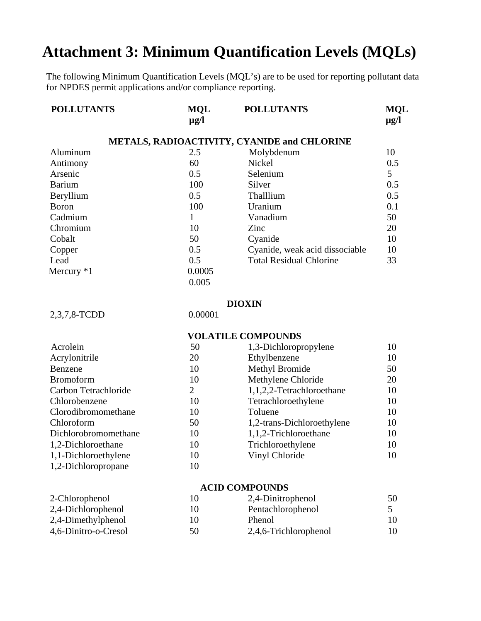## **Attachment 3: Minimum Quantification Levels (MQLs)**

The following Minimum Quantification Levels (MQL's) are to be used for reporting pollutant data for NPDES permit applications and/or compliance reporting.

| <b>MQL</b><br>$\mu$ g/l | <b>POLLUTANTS</b>              | <b>MQL</b><br>$\mu$ g/l                     |
|-------------------------|--------------------------------|---------------------------------------------|
|                         |                                |                                             |
| 2.5                     | Molybdenum                     | 10                                          |
| 60                      | Nickel                         | 0.5                                         |
| 0.5                     | Selenium                       | 5                                           |
| 100                     | Silver                         | 0.5                                         |
| 0.5                     | Thalllium                      | 0.5                                         |
| 100                     | Uranium                        | 0.1                                         |
| 1                       | Vanadium                       | 50                                          |
| 10                      | Zinc                           | 20                                          |
| 50                      | Cyanide                        | 10                                          |
| 0.5                     | Cyanide, weak acid dissociable | 10                                          |
| 0.5                     | <b>Total Residual Chlorine</b> | 33                                          |
| 0.0005                  |                                |                                             |
| 0.005                   |                                |                                             |
|                         |                                | METALS, RADIOACTIVITY, CYANIDE and CHLORINE |

#### **DIOXIN**

2,3,7,8-TCDD 0.00001

2-Chlorophenol

### **VOLATILE COMPOUNDS** Acrolein 50 1,3-Dichloropropylene 10 Acrylonitrile 20 Ethylbenzene 10 Benzene 10 Methyl Bromide 50 Bromoform 10 Methylene Chloride 20 Carbon Tetrachloride 2 1,1,2,2-Tetrachloroethane 10 Chlorobenzene 10 Tetrachloroethylene 10 Clorodibromomethane 10 Toluene 10 Chloroform 50 1,2-trans-Dichloroethylene 10 Dichlorobromomethane 10 1,1,2-Trichloroethane 10 1,1,3 1,2-Dichloroethane 10 Trichloroethylene 10 10 1,1-Dichloroethylene 10 Vinyl Chloride 10 1,2-Dichloropropane 10

#### **ACID COMPOUNDS**

| 2-Chlorophenol       |    | 2,4-Dinitrophenol     | 50 |
|----------------------|----|-----------------------|----|
| 2,4-Dichlorophenol   | 10 | Pentachlorophenol     |    |
| 2,4-Dimethylphenol   | 10 | <b>Phenol</b>         | 10 |
| 4,6-Dinitro-o-Cresol | 50 | 2,4,6-Trichlorophenol |    |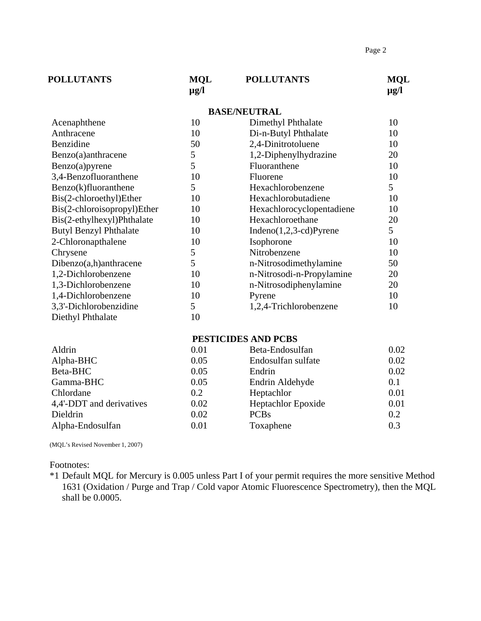| <b>POLLUTANTS</b> | <b>MOL</b><br>µg/l | <b>POLLUTANTS</b> | <b>MOL</b><br>$\mu$ g/l |
|-------------------|--------------------|-------------------|-------------------------|
|                   |                    |                   |                         |

#### **BASE/NEUTRAL**

| Acenaphthene                  | 10 | Dimethyl Phthalate        | 10 |
|-------------------------------|----|---------------------------|----|
| Anthracene                    | 10 | Di-n-Butyl Phthalate      | 10 |
| Benzidine                     | 50 | 2,4-Dinitrotoluene        | 10 |
| Benzo(a)anthracene            | 5  | 1,2-Diphenylhydrazine     | 20 |
| Benzo(a)pyrene                | 5  | Fluoranthene              | 10 |
| 3,4-Benzofluoranthene         | 10 | Fluorene                  | 10 |
| Benzo(k)fluoranthene          | 5  | Hexachlorobenzene         | 5  |
| Bis(2-chloroethyl)Ether       | 10 | Hexachlorobutadiene       | 10 |
| Bis(2-chloroisopropyl)Ether   | 10 | Hexachlorocyclopentadiene | 10 |
| Bis(2-ethylhexyl)Phthalate    | 10 | Hexachloroethane          | 20 |
| <b>Butyl Benzyl Phthalate</b> | 10 | $Indeno(1,2,3-cd)Pyrene$  | 5  |
| 2-Chloronapthalene            | 10 | Isophorone                | 10 |
| Chrysene                      | 5  | Nitrobenzene              | 10 |
| Dibenzo(a,h)anthracene        | 5  | n-Nitrosodimethylamine    | 50 |
| 1,2-Dichlorobenzene           | 10 | n-Nitrosodi-n-Propylamine | 20 |
| 1,3-Dichlorobenzene           | 10 | n-Nitrosodiphenylamine    | 20 |
| 1,4-Dichlorobenzene           | 10 | Pyrene                    | 10 |
| 3,3'-Dichlorobenzidine        | 5  | 1,2,4-Trichlorobenzene    | 10 |
| Diethyl Phthalate             | 10 |                           |    |

### **PESTICIDES AND PCBS**

| Beta-Endosulfan           | 0.02                                                        |
|---------------------------|-------------------------------------------------------------|
| Endosulfan sulfate        | 0.02                                                        |
| Endrin                    | 0.02                                                        |
| Endrin Aldehyde           | 0.1                                                         |
| Heptachlor                | 0.01                                                        |
| <b>Heptachlor Epoxide</b> | 0.01                                                        |
| <b>PCBs</b>               | 0.2                                                         |
| Toxaphene                 | 0.3                                                         |
|                           | 0.01<br>0.05<br>0.05<br>0.05<br>0.2<br>0.02<br>0.02<br>0.01 |

(MQL's Revised November 1, 2007)

Footnotes:

\*1 Default MQL for Mercury is 0.005 unless Part I of your permit requires the more sensitive Method 1631 (Oxidation / Purge and Trap / Cold vapor Atomic Fluorescence Spectrometry), then the MQL shall be 0.0005.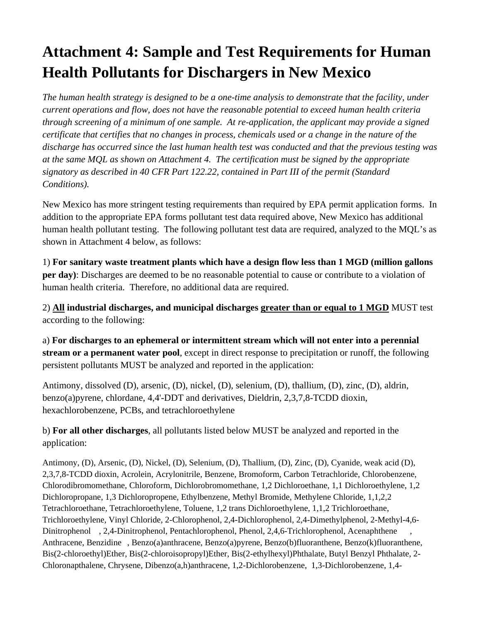# **Attachment 4: Sample and Test Requirements for Human Health Pollutants for Dischargers in New Mexico**

*The human health strategy is designed to be a one-time analysis to demonstrate that the facility, under current operations and flow, does not have the reasonable potential to exceed human health criteria through screening of a minimum of one sample. At re-application, the applicant may provide a signed certificate that certifies that no changes in process, chemicals used or a change in the nature of the discharge has occurred since the last human health test was conducted and that the previous testing was at the same MQL as shown on Attachment 4. The certification must be signed by the appropriate signatory as described in 40 CFR Part 122.22, contained in Part III of the permit (Standard Conditions).* 

New Mexico has more stringent testing requirements than required by EPA permit application forms. In addition to the appropriate EPA forms pollutant test data required above, New Mexico has additional human health pollutant testing. The following pollutant test data are required, analyzed to the MQL's as shown in Attachment 4 below, as follows:

1) **For sanitary waste treatment plants which have a design flow less than 1 MGD (million gallons per day)**: Discharges are deemed to be no reasonable potential to cause or contribute to a violation of human health criteria. Therefore, no additional data are required.

2) **All industrial discharges, and municipal discharges greater than or equal to 1 MGD** MUST test according to the following:

a) **For discharges to an ephemeral or intermittent stream which will not enter into a perennial stream or a permanent water pool**, except in direct response to precipitation or runoff, the following persistent pollutants MUST be analyzed and reported in the application:

Antimony, dissolved (D), arsenic, (D), nickel, (D), selenium, (D), thallium, (D), zinc, (D), aldrin, benzo(a)pyrene, chlordane, 4,4'-DDT and derivatives, Dieldrin, 2,3,7,8-TCDD dioxin, hexachlorobenzene, PCBs, and tetrachloroethylene

b) **For all other discharges**, all pollutants listed below MUST be analyzed and reported in the application:

Antimony, (D), Arsenic, (D), Nickel, (D), Selenium, (D), Thallium, (D), Zinc, (D), Cyanide, weak acid (D), 2,3,7,8-TCDD dioxin, Acrolein, Acrylonitrile, Benzene, Bromoform, Carbon Tetrachloride, Chlorobenzene, Chlorodibromomethane, Chloroform, Dichlorobromomethane, 1,2 Dichloroethane, 1,1 Dichloroethylene, 1,2 Dichloropropane, 1,3 Dichloropropene, Ethylbenzene, Methyl Bromide, Methylene Chloride, 1,1,2,2 Tetrachloroethane, Tetrachloroethylene, Toluene, 1,2 trans Dichloroethylene, 1,1,2 Trichloroethane, Trichloroethylene, Vinyl Chloride, 2-Chlorophenol, 2,4-Dichlorophenol, 2,4-Dimethylphenol, 2-Methyl-4,6- Dinitrophenol , 2,4-Dinitrophenol, Pentachlorophenol, Phenol, 2,4,6-Trichlorophenol, Acenaphthene , Anthracene, Benzidine , Benzo(a)anthracene, Benzo(a)pyrene, Benzo(b)fluoranthene, Benzo(k)fluoranthene, Bis(2-chloroethyl)Ether, Bis(2-chloroisopropyl)Ether, Bis(2-ethylhexyl)Phthalate, Butyl Benzyl Phthalate, 2- Chloronapthalene, Chrysene, Dibenzo(a,h)anthracene, 1,2-Dichlorobenzene, 1,3-Dichlorobenzene, 1,4-